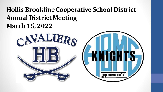#### **Hollis Brookline Cooperative School District Annual District Meeting March 15, 2022**



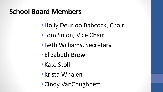### **School Board Members**

- •Holly Deurloo Babcock, Chair
- •Tom Solon, Vice Chair
- •Beth Williams, Secretary
- •Elizabeth Brown
- •Kate Stoll
- •Krista Whalen
- •Cindy VanCoughnett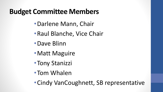## **Budget Committee Members**

- •Darlene Mann, Chair
- •Raul Blanche, Vice Chair
- •Dave Blinn
- Matt Maguire
- •Tony Stanizzi
- •Tom Whalen
- •Cindy VanCoughnett, SB representative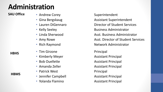# **Administration**

#### **SAU Office**

- Andrew Corey **Superintendent**
- 
- 
- 
- 
- 
- 
- Tim Girzone **Principal**
- 
- 
- 
- Patrick West **Principal**
- Jennifer Campbell **Assistant Principal**
- Yolanda Flamino **Assistant Principal**

• Gina Bergskaug **Assistant Superintendent** • Lauren DiGennaro **Director of Student Services** • Kelly Seeley **Business Administrator** Business Administrator • Linda Sherwood **Asst. Business Administrator** Asst. Business Administrator • Amy Rowe **Asst. Director of Student Services** Asst. Director of Student Services • Rich Raymond **Network Administrator** Network Administrator

• Kimberly Meyer **Assistant Principal** • Bob Ouellette **Assistant Principal** • Amanda Zeller **Andraga Assistant Principal** 

#### **HBHS**

#### **HBMS**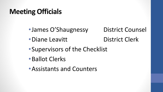# **Meeting Officials**

•James O'Shaugnessy District Counsel

• Diane Leavitt District Clerk

- •Supervisors of the Checklist
- •Ballot Clerks
- •Assistants and Counters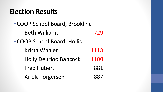### **Election Results**

- COOP School Board, Brookline
	- Beth Williams 729
- COOP School Board, Hollis
	- Krista Whalen 1118
	- Holly Deurloo Babcock 1100
	- Fred Hubert 881
	- Ariela Torgersen 887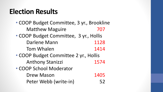## **Election Results**

- COOP Budget Committee, 3 yr., Brookline Matthew Maguire 707
- COOP Budget Committee, 3 yr., Hollis Darlene Mann 1128 Tom Whalen 1414
- COOP Budget Committee 2 yr., Hollis Anthony Stanizzi 1574
- COOP School Moderator
	- Drew Mason 1405 Peter Webb (write-in) 52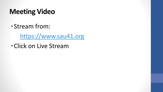# **Meeting Video**

•Stream from:

https://www.sau41.org

•Click on Live Stream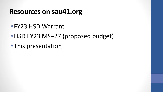#### **Resources on sau41.org**

- •FY23 HSD Warrant
- HSD FY23 MS–27 (proposed budget)
- •This presentation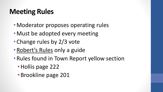# **Meeting Rules**

- Moderator proposes operating rules
- Must be adopted every meeting
- Change rules by 2/3 vote
- Robert's Rules only a guide
- Rules found in Town Report yellow section
	- Hollis page 222
	- Brookline page 201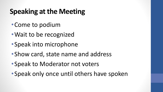# **Speaking at the Meeting**

- •Come to podium
- •Wait to be recognized
- •Speak into microphone
- •Show card, state name and address
- •Speak to Moderator not voters
- •Speak only once until others have spoken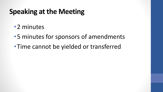# **Speaking at the Meeting**

- •2 minutes
- •5 minutes for sponsors of amendments
- •Time cannot be yielded or transferred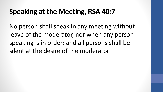## **Speaking at the Meeting, RSA 40:7**

No person shall speak in any meeting without leave of the moderator, nor when any person speaking is in order; and all persons shall be silent at the desire of the moderator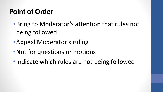# **Point of Order**

- •Bring to Moderator's attention that rules not being followed
- •Appeal Moderator's ruling
- Not for questions or motions
- •Indicate which rules are not being followed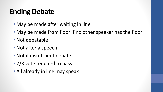# **Ending Debate**

- May be made after waiting in line
- May be made from floor if no other speaker has the floor
- Not debatable
- Not after a speech
- Not if insufficient debate
- 2/3 vote required to pass
- All already in line may speak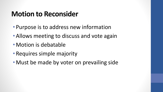## **Motion to Reconsider**

- Purpose is to address new information
- Allows meeting to discuss and vote again
- Motion is debatable
- Requires simple majority
- Must be made by voter on prevailing side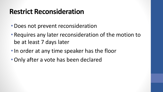### **Restrict Reconsideration**

- Does not prevent reconsideration
- Requires any later reconsideration of the motion to be at least 7 days later
- In order at any time speaker has the floor
- •Only after a vote has been declared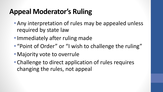# **Appeal Moderator's Ruling**

- Any interpretation of rules may be appealed unless required by state law
- Immediately after ruling made
- "Point of Order" or "I wish to challenge the ruling"
- Majority vote to overrule
- Challenge to direct application of rules requires changing the rules, not appeal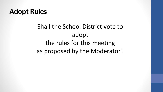#### **Adopt Rules**

### Shall the School District vote to adopt the rules for this meeting as proposed by the Moderator?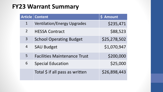#### **FY23 Warrant Summary**

| <b>Article</b> | <b>Content</b>                      | \$ Amount    |
|----------------|-------------------------------------|--------------|
| $\mathbf 1$    | <b>Ventilation/Energy Upgrades</b>  | \$235,471    |
| $\overline{2}$ | <b>HESSA Contract</b>               | \$88,523     |
| 3              | <b>School Operating Budget</b>      | \$25,278,502 |
| $\overline{4}$ | <b>SAU Budget</b>                   | \$1,070,947  |
| 5              | <b>Facilities Maintenance Trust</b> | \$200,000    |
| 6              | <b>Special Education</b>            | \$25,000     |
|                | Total \$ if all pass as written     | \$26,898,443 |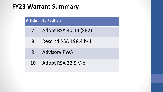#### **FY23 Warrant Summary**

| <b>Article</b> | <b>By Petition</b>     |
|----------------|------------------------|
| $\overline{ }$ | Adopt RSA 40:13 (SB2)  |
| 8              | Rescind RSA 198:4 b-II |
| 9              | <b>Advisory PWA</b>    |
| 10             | Adopt RSA 32:5 V-b     |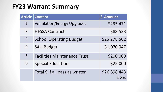#### **FY23 Warrant Summary**

| <b>Article</b> | <b>Content</b>                      | \$ Amount            |
|----------------|-------------------------------------|----------------------|
| $\mathbf 1$    | <b>Ventilation/Energy Upgrades</b>  | \$235,471            |
| $\overline{2}$ | <b>HESSA Contract</b>               | \$88,523             |
| 3              | <b>School Operating Budget</b>      | \$25,278,502         |
| 4              | <b>SAU Budget</b>                   | \$1,070,947          |
| 5              | <b>Facilities Maintenance Trust</b> | \$200,000            |
| 6              | <b>Special Education</b>            | \$25,000             |
|                | Total \$ if all pass as written     | \$26,898,443<br>4.8% |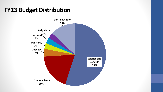#### **FY23 Budget Distribution**

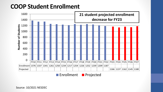#### **COOP Student Enrollment**



**Enrollment Projected**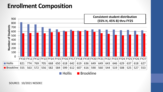#### **Enrollment Composition**



**Hollis** Brookline

SOURCE: 10/2021 NESDEC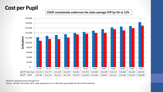#### **Cost per Pupil**

**COOP consistently underruns the state average CPP by 5% to 12%**



Based on reported actuals through FY21

Source: NH DOE December 2021, State avg based on k-12, NO state avg available for MS and HS combined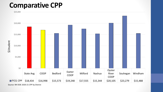#### **Comparative CPP**



Source: NH DOE 2020-21 CPP by District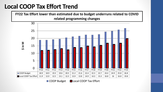#### **Local COOP Tax Effort Trend**



■ COOP Budget ■ Local COOP Tax Effort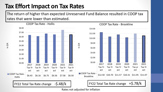#### **Tax Effort Impact on Tax Rates**

The return of higher than expected Unreserved Fund Balance resulted in COOP tax rates that were lower than estimated.



COOP Tax Rate - Brookline

Rates not adjusted for inflation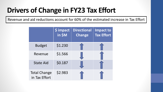# **Drivers of Change in FY23 Tax Effort**

Revenue and aid reductions account for 60% of the estimated increase in Tax Effort

|                                      | \$ impact<br>in \$M | <b>Directional</b><br><b>Change</b> | <b>Impact to</b><br><b>Tax Effort</b> |
|--------------------------------------|---------------------|-------------------------------------|---------------------------------------|
| <b>Budget</b>                        | \$1.230             |                                     |                                       |
| Revenue                              | \$1.566             |                                     |                                       |
| <b>State Aid</b>                     | \$0.187             |                                     |                                       |
| <b>Total Change</b><br>in Tax Effort | \$2.983             |                                     |                                       |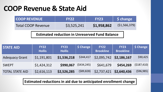#### **COOP Revenue & State Aid**

| <b>LCOOP REVENUE</b>      | <b>FY22</b> | <b>FY23</b> | Schange        |
|---------------------------|-------------|-------------|----------------|
| <b>Total COOP Revenue</b> | \$3,525,241 | \$1,958,862 | (S1, 566, 379) |

**Estimated reduction in Unreserved Fund Balance**

| <b>STATE AID</b>       | <b>FY22</b><br><b>Hollis</b> | <b>FY23</b><br><b>Hollis</b> | \$ Change   | <b>FY22</b><br><b>Brookline</b> | <b>FY23</b><br><b>Brookline</b> | \$ Change   |
|------------------------|------------------------------|------------------------------|-------------|---------------------------------|---------------------------------|-------------|
| <b>Adequacy Grant</b>  | \$1,191,801                  | \$1,536,218                  | \$344,417   | \$2,095,742                     | \$2,186,167                     | \$90,425    |
| <b>SWEPT</b>           | \$1,424,312                  | \$990,067                    | (5434, 245) | \$641,679                       | \$454,269                       | (5187, 410) |
| <b>TOTAL STATE AID</b> | \$2,616,113                  | \$2,526,285                  | (589, 828)  | \$2,737,421                     | \$2,640,436                     | (596, 985)  |

**Estimated reductions in aid due to anticipated enrollment change**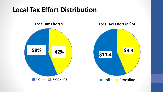## **Local Tax Effort Distribution**

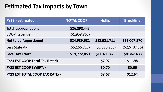#### **Estimated Tax Impacts by Town**

| <b>FY23 - estimated</b>               | <b>TOTAL COOP</b> | <b>Hollis</b>  | <b>Brookline</b> |
|---------------------------------------|-------------------|----------------|------------------|
| Total appropriations                  | \$26,898,443      |                |                  |
| <b>COOP Revenue</b>                   | (51, 958, 862)    |                |                  |
| <b>Net to be Apportioned</b>          | \$24,939,581      | \$13,931,711   | \$11,007,870     |
| <b>Less State Aid</b>                 | (55, 166, 721)    | (52, 526, 285) | (52,640,436)     |
| <b>Local Tax Effort</b>               | \$19,772,859      | \$11,405,426   | \$8,367,433      |
| FY23 EST COOP Local Tax Rate/k        |                   | \$7.97         | \$11.98          |
| <b>FY23 EST COOP SWEPT/k</b>          |                   | \$0.70         | \$0.66           |
| <b>FY23 EST TOTAL COOP TAX RATE/k</b> |                   | \$8.67         | \$12.64          |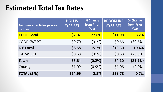### **Estimated Total Tax Rates**

| Assumes all articles pass as<br>written | <b>HOLLIS</b><br><b>FY23 EST</b> | % Change<br><b>from Prior</b><br>Year | <b>BROOKLINE</b><br><b>FY23 EST</b> | % Change<br>from Prior<br>Year |
|-----------------------------------------|----------------------------------|---------------------------------------|-------------------------------------|--------------------------------|
| <b>COOP Local</b>                       | \$7.97                           | 22.6%                                 | \$11.98                             | 8.2%                           |
| <b>COOP SWEPT</b>                       | \$0.70                           | (31%)                                 | \$0.66                              | (30.6%)                        |
| <b>K-6 Local</b>                        | \$8.58                           | 15.2%                                 | \$10.30                             | 10.4%                          |
| K-6 SWEPT                               | \$0.68                           | (31%)                                 | \$0.68                              | (26.3%)                        |
| <b>Town</b>                             | \$5.64                           | (0.2% )                               | \$4.10                              | (21.7%)                        |
| County                                  | \$1.09                           | $(0.9\%)$                             | \$1.06                              | $(2.0\%)$                      |
| TOTAL (\$/k)                            | \$24.66                          | 8.5%                                  | \$28.78                             | 0.7%                           |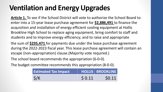# **Ventilation and Energy Upgrades**

**Article 1.** To see if the School District will vote to authorize the School Board to enter into a 15-year lease purchase agreement for **\$2,886,491** to finance the acquisition and installation of energy efficient cooling equipment at Hollis Brookline High School to replace aging equipment, bring comfort to staff and students and to improve energy efficiency; and to raise and appropriate

the sum of **\$235,471** for payments due under the lease purchase agreement during the 2022-2023 fiscal year. This lease purchase agreement will contain an escape (non-appropriation) clause.(Majority vote required.)

The school board recommends the appropriation (6-0-0).

The budget committee recommends this appropriation (8-0-0).

| <b>Estimated Tax Impact</b> |       | HOLLIS   BROOKLINE |
|-----------------------------|-------|--------------------|
| $\zeta/K$                   | 50.11 | \$0.11             |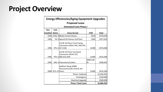## **Project Overview**

| <b>Energy Efficiencies/Aging Equipment Upgrades</b> |                           |                                                                |                 |              |  |  |  |  |  |
|-----------------------------------------------------|---------------------------|----------------------------------------------------------------|-----------------|--------------|--|--|--|--|--|
|                                                     | <b>Proposed Lease</b>     |                                                                |                 |              |  |  |  |  |  |
|                                                     |                           | <b>Estimated Costs-Phase I</b>                                 |                 |              |  |  |  |  |  |
| Year                                                | <b>Unit</b>               |                                                                |                 |              |  |  |  |  |  |
| Installed                                           | <b>Name</b>               | <b>Areas Served</b>                                            | <b>CFM</b>      | <b>Total</b> |  |  |  |  |  |
| 1996                                                |                           | HVAC-3 Media Center/Library                                    | 5010            | \$370,018    |  |  |  |  |  |
| 1996                                                |                           | HV-2Special Ed-Fiemus-2nd Floor                                | 2260            | \$357,022    |  |  |  |  |  |
|                                                     |                           | 2nd & 3rd Floor Front Facing<br>Classrooms (#201-204, 300-307, |                 |              |  |  |  |  |  |
| 1996                                                |                           | RTU-1317,318)                                                  | 12280           | \$476,284    |  |  |  |  |  |
|                                                     |                           | 2nd & 3rd Floor Courtyard<br>Classrooms (#216-222,             | 12490           |              |  |  |  |  |  |
| 1996                                                |                           | RTU-2309,323,329)                                              |                 | \$476,284    |  |  |  |  |  |
| 1996                                                |                           | HRU-1 Classrooms/Lockers                                       | 380E/238<br>los | \$300,601    |  |  |  |  |  |
|                                                     |                           | Addition Wing (2000)<br>Classrooms/Labs (2nd & 3rd             |                 |              |  |  |  |  |  |
| 2000                                                | RTU-1CFloor)              |                                                                | 12000           | \$476,284    |  |  |  |  |  |
|                                                     |                           | Phase I Subtotal                                               |                 | \$2,456,491  |  |  |  |  |  |
|                                                     |                           | Contingency                                                    |                 | \$130,000    |  |  |  |  |  |
|                                                     | <b>Electrical Upgrade</b> | \$300,000                                                      |                 |              |  |  |  |  |  |
|                                                     |                           | <b>Phase I Total Costs</b>                                     |                 | \$2,886,491  |  |  |  |  |  |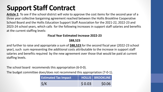# **Support Staff Contract**

**Article 2.** To see if the school district will vote to approve the cost items for the second year of a three year collective bargaining agreement reached between the Hollis Brookline Cooperative School Board and the Hollis Education Support Staff Association for the 2021-22, 2022-23 and 2023-24 school years, which calls for the following increases in support staff salaries and benefits at the current staffing levels:

#### **Fiscal Year Estimated Increase 2022-23**

#### **\$88,523**

and further to raise and appropriate a sum of **\$88,523** for the second fiscal year (2022-23 school year), such sum representing the additional costs attributable to the increase in support staff salaries and benefits required by the new agreement over those that would be paid at current staffing levels.

The school board recommends this appropriation (6-0-0).

The budget committee does/does not recommend this appropriation (7-0-1).

| <b>Estimated Tax Impact</b> |       | HOLLIS   BROOKLINE |
|-----------------------------|-------|--------------------|
| $\zeta/K$                   | 50.03 | \$0.06             |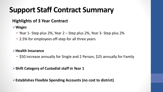# **Support Staff Contract Summary**

#### **Highlights of 3 Year Contract**

**Wages**

- Year 1- Step plus 2%, Year 2 Step plus 2%, Year 3- Step plus 2%
- 2.5% for employees off-step for all three years

#### **Health Insurance**

• \$50 increase annually for Single and 2 Person, \$25 annually for Family

**Shift Category of Custodial staff in Year 1**

**Establishes Flexible Spending Accounts (no cost to district)**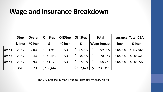#### **Wage and Insurance Breakdown**

|        | <b>Step</b> | <b>Overall</b> | <b>On Step</b> | <b>OffStep</b> | <b>Off Step</b> |              | <b>Total</b>       | <b>Insurance Total CBA</b> |                                |
|--------|-------------|----------------|----------------|----------------|-----------------|--------------|--------------------|----------------------------|--------------------------------|
|        | $%$ lncr    | $%$ Incr       |                | $%$ lncr       |                 |              | <b>Wage Impact</b> | <b>Incr</b>                | $$$ Incr                       |
| Year 1 | 2.0%        | 7.0%           | \$ 51,980      | 2.5%           | \$47,085        | $\zeta$      | 99,065             | \$18,000                   | \$117,065                      |
| Year 2 | 2.0%        | 5.4%           | 542,484        | 2.5%           | \$28,039        | $\zeta$      | 70,523             | \$18,000                   | $\boldsymbol{\zeta}$<br>88,523 |
| Year 3 | 2.0%        | 4.9%           | S.<br>41,178   | 2.5%           | \$27,549        | $\mathsf{S}$ | 68,727             | \$18,000                   | $\mathsf{S}$<br>86,727         |
|        | <b>AVG</b>  | 5.7%           | \$135,642      |                | \$102,673       | \$           | 238,315            |                            |                                |

The 7% increase in Year 1 due to Custodial category shifts.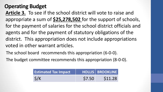#### **Operating Budget**

**Article 3.** To see if the school district will vote to raise and appropriate a sum of **\$25,278,502** for the support of schools, for the payment of salaries for the school district officials and agents and for the payment of statutory obligations of the district. This appropriation does not include appropriations voted in other warrant articles.

The school board recommends this appropriation (6-0-0).

The budget committee recommends this appropriation (8-0-0).

| <b>Estimated Tax Impact</b> |        | HOLLIS BROOKLINE |
|-----------------------------|--------|------------------|
| $\zeta/K$                   | \$7.50 | \$11.28          |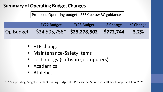#### **Summary of Operating Budget Changes**

Proposed Operating budget ~\$65K below BC guidance

|           | <b>FY22 Budget</b>                    | <b>FY23 Budget</b> | \$ Change | 8 % Change |
|-----------|---------------------------------------|--------------------|-----------|------------|
| Op Budget | $$24,505,758*$ \$25,278,502 \$772,744 |                    |           | 3.2%       |

- FTE changes
- **E** Maintenance/Safety Items
- **Technology (software, computers)**
- **Academics**
- **Athletics**

\* FY22 Operating Budget reflects Operating Budget plus Professional & Support Staff article approved April 2021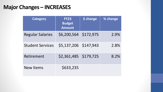#### **Major Changes – INCREASES**

| <b>Category</b>         | <b>FY23</b><br><b>Budget</b><br><b>Amount</b> | \$ change | % change |
|-------------------------|-----------------------------------------------|-----------|----------|
| <b>Regular Salaries</b> | \$6,200,564                                   | \$172,975 | 2.9%     |
| <b>Student Services</b> | \$5,137,206                                   | \$147,943 | 2.8%     |
| Retirement              | \$2,361,485                                   | \$179,725 | 8.2%     |
| <b>New Items</b>        | \$633,235                                     |           |          |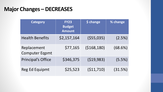#### **Major Changes – DECREASES**

| <b>Category</b>                      | <b>FY23</b><br><b>Budget</b><br><b>Amount</b> | \$ change     | % change  |
|--------------------------------------|-----------------------------------------------|---------------|-----------|
| <b>Health Benefits</b>               | \$2,157,164                                   | $($ \$55,035) | (2.5%)    |
| Replacement<br><b>Computer Eqpmt</b> | \$77,165                                      | (5168, 180)   | (68.6%)   |
| <b>Principal's Office</b>            | \$346,375                                     | (519,983)     | $(5.5\%)$ |
| <b>Reg Ed Equipmt</b>                | \$25,523                                      | (511, 710)    | (31.5%)   |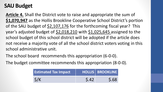#### **SAU Budget**

**Article 4.** Shall the District vote to raise and appropriate the sum of **\$1,070,947** as the Hollis Brookline Cooperative School District's portion of the SAU budget of \$2,107,176 for the forthcoming fiscal year? This year's adjusted budget of \$2,018,210 with \$1,025,645 assigned to the school budget of this school district will be adopted if the article does not receive a majority vote of all the school district voters voting in this school administrative unit.

The school board recommends this appropriation (6-0-0).

The budget committee recommends this appropriation (8-0-0).

| <b>Estimated Tax Impact</b> |      | HOLLIS BROOKLINE |
|-----------------------------|------|------------------|
| S/K                         | 5.42 | $\mathsf{S}.68$  |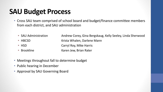## **SAU Budget Process**

- Cross SAU team comprised of school board and budget/finance committee members from each district, and SAU administration
	-
	-
	-
	-

• SAU Administration Andrew Corey, Gina Bergskaug, Kelly Seeley, Linda Sherwood • HBCSD Krista Whalen, Darlene Mann • HSD **Carryl Roy, Mike Harris** • Brookline Karen Jew, Brian Rater

- Meetings throughout fall to determine budget
- Public hearing in December
- Approval by SAU Governing Board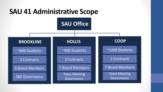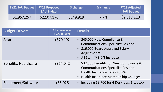| FY22 SAU Budget   FY23 Proposed | <b>SAU Budget</b> | <b>S</b> change | % change | <b>FY23 Adjusted</b><br><b>SAU Budget</b> |
|---------------------------------|-------------------|-----------------|----------|-------------------------------------------|
| \$1,957,257                     | \$2,107,176       | \$149,919       | $7.7\%$  | \$2,018,210                               |

| <b>Budget Drivers</b>       | \$ Increase over<br><b>FY22 Budget</b> | <b>Details</b>                                                                                                                                                   |
|-----------------------------|----------------------------------------|------------------------------------------------------------------------------------------------------------------------------------------------------------------|
| <b>Salaries</b>             | $+$ \$70,192                           | • \$45,000 New Compliance &<br><b>Communications Specialist Position</b><br>• \$16,000 Board Approved Salary<br>Adjustments<br>• All Staff @ 3.0% Increase       |
| <b>Benefits: Healthcare</b> | $+$ \$64,042                           | • \$32,555 Benefits for New Compliance &<br><b>Communications Specialist Position</b><br>• Health Insurance Rates +3.9%<br>• Health Insurance Membership Changes |
| Equipment/Software          | $+$ \$5,025                            | • Including \$3,700 for 4 Desktops, 1 Laptop                                                                                                                     |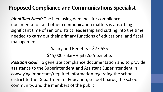#### **Proposed Compliance and Communications Specialist**

*Identified Need:* The increasing demands for compliance documentation and other communication matters is absorbing significant time of senior district leadership and cutting into the time needed to carry out their primary functions of educational and fiscal management.

Salary and Benefits = \$77,555

\$45,000 salary + \$32,555 benefits

*Position Goal:* To generate compliance documentation and to provide assistance to the Superintendent and Assistant Superintendent in conveying important/required information regarding the school district to the Department of Education, school boards, the school community, and the members of the public.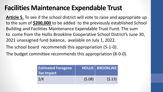### **Facilities Maintenance Expendable Trust**

**Article 5.** To see if the school district will vote to raise and appropriate up to the sum of **\$200,000** to be added to the previously established School Building and Facilities Maintenance Expendable Trust Fund. The sum to come from the Hollis Brookline Cooperative School District's June 30, 2021 unassigned fund balance, available on July 1, 2022.

The school board recommends this appropriation (5-1-0).

The budget committee recommends this appropriation (8-0-0).

| <b>Estimated Foregone</b><br><b>Tax Impact</b> |        | <b>HOLLIS   BROOKLINE</b> |
|------------------------------------------------|--------|---------------------------|
| $\zeta/K$                                      | (5.08) | (5.13)                    |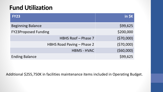#### **Fund Utilization**

| <b>FY23</b>                 | in \$K    |
|-----------------------------|-----------|
| <b>Beginning Balance</b>    | \$99,625  |
| <b>FY23Proposed Funding</b> | \$200,000 |
| HBHS Roof - Phase 7         | (570,000) |
| HBHS Road Paving - Phase 2  | (570,000) |
| <b>HBMS - HVAC</b>          | (560,000) |
| <b>Ending Balance</b>       | \$99,625  |

Additional \$255,750K in facilities maintenance items included in Operating Budget.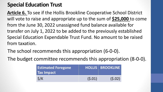#### **Special Education Trust**

**Article 6.** To see if the Hollis Brookline Cooperative School District will vote to raise and appropriate up to the sum of **\$25,000** to come from the June 30, 2022 unassigned fund balance available for transfer on July 1, 2022 to be added to the previously established Special Education Expendable Trust Fund. No amount to be raised from taxation.

The school recommends this appropriation (6-0-0).

The budget committee recommends this appropriation (8-0-0).

| <b>Estimated Foregone</b><br><b>Tax Impact</b> |        | <b>HOLLIS   BROOKLINE  </b> |
|------------------------------------------------|--------|-----------------------------|
| S/K                                            | (5.01) | (5.02)                      |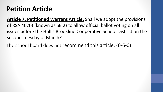**Article 7. Petitioned Warrant Article.** Shall we adopt the provisions of RSA 40:13 (known as SB 2) to allow official ballot voting on all issues before the Hollis Brookline Cooperative School District on the second Tuesday of March?

The school board does not recommend this article. (0-6-0)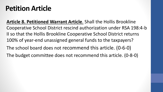**Article 8. Petitioned Warrant Article**. Shall the Hollis Brookline Cooperative School District rescind authorization under RSA 198:4-b II so that the Hollis Brookline Cooperative School District returns 100% of year-end unassigned general funds to the taxpayers?

The school board does not recommend this article. (0-6-0)

The budget committee does not recommend this article. (0-8-0)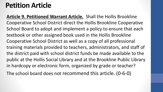**Article 9. Petitioned Warrant Article.** Shall the Hollis Brookline Cooperative School District direct the Hollis Brookline Cooperative School Board to adopt and implement a policy to ensure that each textbook or other assigned book used in the Hollis Brookline Cooperative School District as well as a copy of all professional training materials provided to teachers, administrators, and staff of the district paid with school district funds be made available to the public at the Hollis Social Library and at the Brookline Public Library in hardcopy or electronic form, organized by grade or teacher?

The school board does not recommend this article. (0-6-0)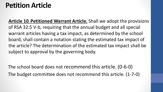**Article 10. Petitioned Warrant Article.** Shall we adopt the provisions of RSA 32:5 V-b, requiring that the annual budget and all special warrant articles having a tax impact, as determined by the school board, shall contain a notation stating the estimated tax impact of the article? The determination of the estimated tax impact shall be subject to approval by the governing body.

The school board does not recommend this article. (0-6-0) The budget committee does not recommend this article. (1-7-0)